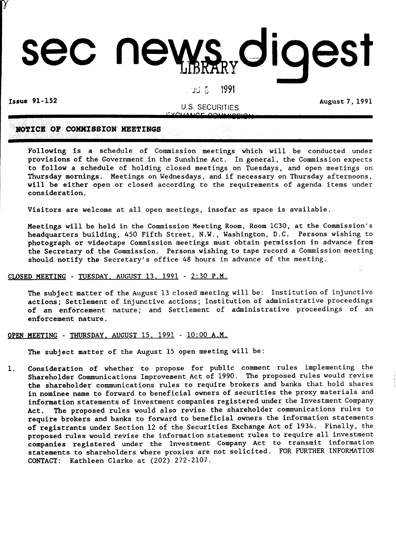# sec news digest

### J~· <sup>U</sup> ,. <sup>1991</sup>

Issue 91-152 August 7, 1991

γ

U.S. SECURITIES '-XGI! B'GS **99'11110019'1**

# **NOTICE OF COMMISSION MEETINGS**

Following is a schedule of Commission meetings which will be conducted under provisions of the Government in the Sunshine Act. In general, the Commission expects to follow a schedule of holding closed meetings on Tuesdays, and open meetings on Thursday mornings. Meetings on Wednesdays, and if necessary on Thursday afternoons, will be either open or closed according to the requirements of agenda items under consideration.

Visitors are welcome at all open meetings, insofar as space is available.

Meetings will be held in the Commission Meeting Room, Room lC30, at the Commission's headquarters building, 450 Fifth Street, N.W., Washington, D.C. Persons wishing to photograph or videotape Commission meetings must obtain permission in advance from the Secretary of the Commission. Persons wishing to tape record a Commission meeting should notify the Secretary's office 48 hours in advance of the meeting.

### CLOSED MEETING - TUESDAY. AUGUST 13. 1991 - 2:30 P.M.

The subject matter of the August 13 closed meeting will be: Institution of injunctive actions; Settlement of injunctive actions; Institution of administrative proceedings of an enforcement nature; and Settlement of administrative proceedings of an enforcement nature.

### OPEN MEETING - THURSDAY. AUGUST IS. 1991 - 10:00 A.M.

The subject matter of the August 15 open meeting will be:

1. Consideration of whether to propose for public comment rules implementing the Shareholder Communications Improvement Act of 1990. The proposed rules would revise the shareholder communications rules to require brokers and banks that hold shares in nominee name to forward to beneficial owners of securities the proxy materials and information statements of investment companies registered under the Investment Company Act. The proposed rules would also revise the shareholder communications rules to require brokers and banks to forward to beneficial owners the information statements of registrants under Section 12 of the Securities Exchange Act of 1934. Finally, the proposed rules would revise the information statement rules to require all investment companies registered under the Investment Company Act to transmit information statements to shareholders where proxies are not solicited. FOR FURTHER INFORMATION CONTACT: Kathleen Clarke at (202) 272-2107.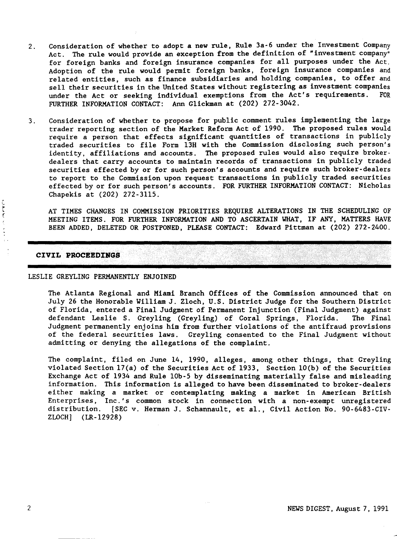- 2. Consideration of whether to adopt a new rule, Rule 3a-6 under the Investment Company Act. The rule would provide an exception from the definition of "investment company" for foreign banks and foreign insurance companies for all purposes under the Act. Adoption of the rule would permit foreign banks, foreign insurance companies and related entities, such as finance subsidiaries and holding companies, to offer and sell their securities in the United States without registering as investment companies<br>under the Act or seeking individual exemptions from the Act's requirements. FOR under the Act or seeking individual exemptions from the Act's requirements. FURTHER INFORMATION CONTACT: Ann Glickman at (202) 272-3042.
- 3. Consideration of whether to propose for public comment rules implementing the large trader reporting section of the Market Reform Act of 1990. The proposed rules would require a person that effects significant quantities of transactions in publicly traded securities to file Form l3H with the Commission disclosing such person's identity, affiliations and accounts. The proposed rules would also require brokerdealers that carry accounts to maintain records of transactions in publicly traded securities effected by or for such person's accounts and require such broker-dealers to report to the Commission upon request transactions in publicly traded securities effected by or for such person's accounts. FOR FURTHER INFORMATION CONTACT: Nicholas Chapekis at (202) 272-3115.

AT TIMES CHANGES IN COMMISSION PRIORITIES REQUIRE ALTERATIONS IN THE SCHEDULING OF MEETING ITEMS. FOR FURTHER INFORMATION AND TO ASCERTAIN WHAT, IF ANY, MATTERS HAVE BEEN ADDED, DELETED OR POSTPONED, PLEASE CONTACT: Edward Pittman at (202) 272-2400.

### **CIVIL PROCE:EDINSS**

### LESLIE GREYLING PERMANENTLY ENJOINED

The Atlanta Regional and Miami Branch Offices of the Commission announced that on July 26 the Honorable William J. Zloch, U.S. District Judge for the Southern District of Florida, entered a Final Judgment of Permanent Injunction (Final Judgment) against defendant Leslie S. Greyling (Greyling) of Coral Springs, Florida. The Final Judgment permanently enjoins him from further violations of the antifraud provisions of the federal securities laws. Greyling consented to the Final Judgment without admitting or denying the allegations of the complaint.

The complaint, filed on June 14, 1990, alleges, among other things, that Greyling violated Section  $17(a)$  of the Securities Act of 1933, Section  $10(b)$  of the Securities Exchange Act of 1934 and Rule 10b-5 by disseminating materially false and misleading information. This information is alleged to have been disseminated to broker-dealers either making a market or contemplating making a market in American British Enterprises, Inc.'s common stock in connection with a non-exempt unregistered distribution. [SEC v. Herman J. Schannault, et al., Civil Action No. 90-6483-CIV-ZLOCH] (LR-12928)

ことく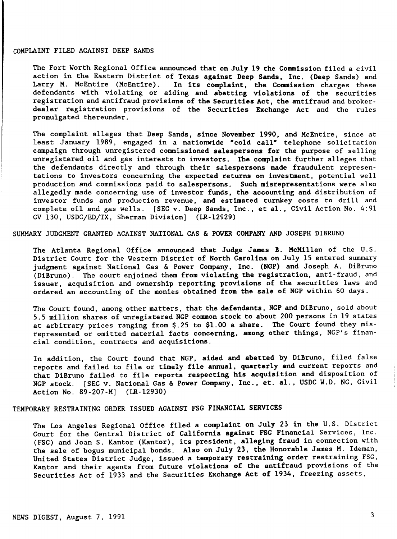### COMPLAINT FILED AGAINST DEEP SANDS

The Fort Worth Regional Office announced that on July 19 the Commission filed a civil action in the Eastern District of Texas against Deep Sands, Inc. (Deep Sands) and<br>Larry M. McEntire (McEntire). In its complaint, the Commission charges these In its complaint, the Commission charges these defendants with violating or aiding and abetting violations of the securities registration and antifraud provisions of the Securities Act, the antifraud and brokerdealer registration provisions of the Securities Exchange Act and the rules promulgated thereunder.

The complaint alleges that Deep Sands, since November 1990, and McEntire, since at least January 1989, engaged in a nationwide "cold call" telephone solicitation campaign through unregistered commissioned salespersons for the purpose of selling unregistered oil and gas interests to investors. The complaint further alleges that the defendants directly and through their salespersons made fraudulent representations to investors concerning the expected returns on investment, potential well production and commissions paid to salespersons. Such misrepresentations were also allegedly made concerning use of investor funds, the accounting and distribution of investor funds and production revenue, and estimated turnkey costs to drill and complete oil and gas wells. [SEC v. Deep Sands, Inc., et a1., Civil Action No. 4:91 CV 130, USDC/ED/TX, Sherman Division] (LR-12929)

SUMMARY JUDGMENT GRANTED AGAINST NATIONAL GAS & POWER COMPANY AND JOSEPH DIBRUNO

The Atlanta Regional Office announced that Judge James B. McMillan of the U.S. District Court for the Western District of North Carolina on July 15 entered summary judgment against National Gas & Power Company, Inc. (NGP) and Joseph A. DiBruno (DiBruno). The court enjoined them from violating the registration, anti-fraud, and issuer, acquisition and ownership reporting provisions of the securities laws and ordered an accounting of the monies obtained from the sale of NGP within 60 days.

The Court found, among other matters, that the defendants, NGP and DiBruno, sold about 5.5 million shares of unregistered NGP common stock to about 200 persons in 19 states at arbitrary prices ranging from \$.25 to \$1.00 a share. The Court found they misrepresented or omitted material facts concerning, among other things, NGP's financial condition, contracts and acquisitions.

In addition, the Court found that NGP, aided and abetted by DiBruno, filed false reports and failed to file or timely file annual, quarterly and current reports and that DiBruno failed to file reports respecting his acquisition and disposition of NGP stock. [SEC v. National Gas & Power Company, Inc., et. al., USDC W.D. NC, Civil Action No. 89-207-M] (LR-12930)

TEMPORARY RESTRAINING ORDER ISSUED AGAINST FSG FINANCIAL SERVICES

The Los Angeles Regional Office filed a complaint on July 23 in the U.S. District Court for the Central District of California against FSG Financial Services, Inc. (FSG) and Joan S. Kantor (Kantor), its president, alleging fraud in connection with the sale of bogus municipal bonds. Also on July 23, the Honorable James M. Ideman, United States District Judge, issued a temporary restraining order restraining FSG, Kantor and their agents from future violations of the antifraud provisions of the Securities Act of 1933 and the Securities Exchange Act of 1934, freezing assets,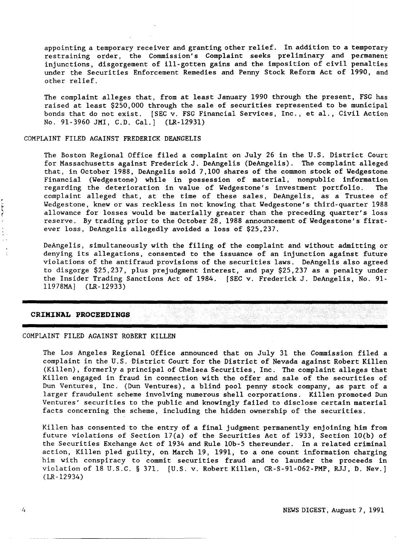appointing a temporary receiver and granting other relief. In addition to a temporary restraining order, the Commission's Complaint seeks preliminary and permanent injunctions, disgorgement of ill-gotten gains and the imposition of civil penalties under the Securities Enforcement Remedies and Penny Stock Reform Act of 1990, and other relief.

The complaint alleges that, from at least January 1990 through the present, FSG has raised at least \$250,000 through the sale of securities represented to be municipal bonds that do not exist. [SEC v. FSG Financial Services, Inc., et al., Civil Action No. 91-3960 JMI, C.D. Cal.] (LR-1293l)

### COMPLAINT FILED AGAINST FREDERICK DEANGELIS

The Boston Regional Office filed a complaint on July 26 in the U.S. District Court for Massachusetts against Frederick J. DeAngelis (DeAngelis). The complaint alleged that, in October 1988, DeAngelis sold 7,100 shares of the common stock of Wedgestone Financial (Wedgestone) while in possession of material, nonpublic information regarding the deterioration in value of Wedgestone's investment portfolio. The complaint alleged that, at the time of these sales, DeAngelis, as a Trustee of Wedgestone, knew or was reckless in not knowing that Wedgestone's third-quarter 1988<br>allowance for losses would be materially greater than the preceding quarter's loss<br>reserve. By trading prior to the October 28, 1988 anno allowance for losses would be materially greater than the preceding quarter's loss reserve. By trading prior to the October 28, 1988 announcement of Wedgestone's firstever loss, DeAngelis allegedly avoided a loss of \$25,237.

> DeAngelis, simultaneously with the filing of the complaint and without admitting or denying its allegations, consented to the issuance of an injunction against future violations of the antifraud provisions of the securities laws. DeAngelis also agreed to disgorge \$25,237, plus prejudgment interest, and pay \$25,237 as a penalty under the Insider Trading Sanctions Act of 1984. [SEC v. Frederick J. DeAngelis, No. 91 l1978MAJ (LR-12933)

### **CRIMINAL PROCEEDINGS**

### COMPLAINT FILED AGAINST ROBERT KILLEN

The Los Angeles Regional Office announced that on July 31 the Commission filed a complaint in the U.S. District Court for the District of Nevada against Robert Killen (Killen), formerly a principal of Chelsea Securities, Inc. The complaint alleges that Killen engaged in fraud in connection with the offer and sale of the securities of Dun Ventures, Inc. (Dun Ventures), a blind pool penny stock company, as part of a larger fraudulent scheme involving numerous shell corporations. Killen promoted Dun Ventures' securities to the public and knowingly failed to disclose certain material facts concerning the scheme, including the hidden ownership of the securities.

Killen has consented to the entry of a final judgment permanently enjoining him from future violations of Section l7(a) of the Securities Act of 1933, Section 10(b) of the Securities Exchange Act of 1934 and Rule 10b-5 thereunder. In a related criminal action, Killen pled guilty, on March 19, 1991, to a one count information charging him with conspiracy to commit securities fraud and to launder the proceeds in violation of 18 U.S.C. § 371. [U.S. v. Robert Killen, CR-S-9l-062-PMP, RJJ, D. Nev.] (LR-12934)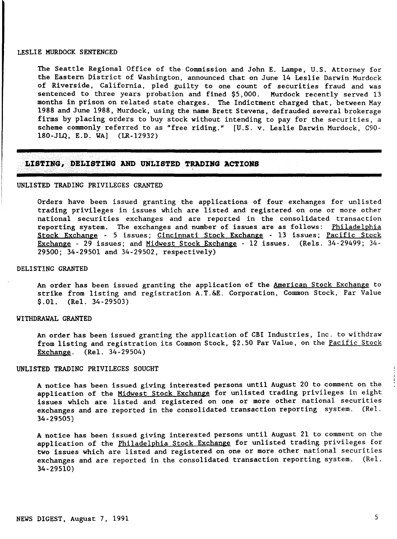### LESLIE MURDOCK SENTENCED

The Seattle Regional Office of the Commission and John E. Lampe, U.S. Attorney for the Eastern District of Washington, announced that on June 14 Leslie Darwin Murdock of Riverside, California, pled guilty to one count of securities fraud and was sentenced to three years probation and fined \$5,000. Murdock recently served 13 months in prison on related state charges. The Indictment charged that, between May 1988 and June 1988, Murdock, using the name Brett Stevens, defrauded several brokerage firms by placing orders to buy stock without intending to pay for the securities, a scheme commonly referred to as "free riding." [U.S. v. Leslie Darwin Murdock, C90- 180-JLQ, E.D. WA] (LR-12932)

### **L![STnJG,J)ELl:STINGANDUNLISTED TRADING ACTIONS**

### UNLISTED TRADING PRIVILEGES GRANTED

..,- \_ -.-\_.\_ \_ ,"

Orders have been issued granting the applications of four exchanges for unlisted trading privileges in issues which are listed and registered on one or more other national securities exchanges and are reported in the consolidated transaction reporting system. The exchanges and number of issues are as follows: Philadelphia Stock Exchange - 5 issues; Cincinnati Stock Exchange - 13 issues; Pacific Stock Exchange - 29 issues; and Midwest Stock Exchange - 12 issues. (Re1s. 34-29499; 34- 29500; 34-29501 and 34-29502, respectively)

### DELIST!NG GRANTED

An order has been issued granting the application of the American Stock Exchange to strike from listing and registration A.T.&E. Corporation, Common Stock, Par Value \$.01. (Re1. 34-29503)

### WITHDRAWAL GRANTED

An order has been issued granting the application of CBI Industries, Inc. to withdraw from listing and registration its Common Stock, \$2.50 Par Value, on the Pacific Stock Exchange. (Re1. 34-29504)

### UNLISTED TRADING PRIVILEGES SOUGHT

A notice has been issued giving interested persons until August 20 to comment on the application of the Midwest Stock Exchange for unlisted trading privileges in eight issues which are listed and registered on one or more other national securities exchanges and are reported in the consolidated transaction reporting system. (Re1. 34-29505)

A notice has been issued giving interested persons until August 21 to comment on the application of the Philadelphia Stock Exchange for unlisted trading privileges for two issues which are listed and registered on one or more other national securities exchanges and are reported in the consolidated transaction reporting system. (Rei. 34-29510)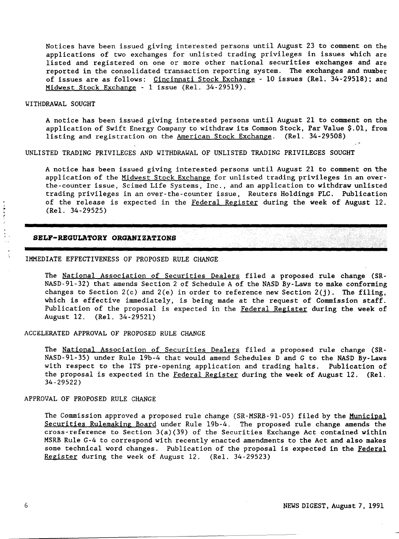Notices have been issued giving interested persons until August 23 to comment on the applications of two exchanges for unlisted trading privileges in issues which are listed and registered on one or more other national securities exchanges and are reported in the consolidated transaction reporting system. The exchanges and number of issues are as follows: Cincinnati Stock Exchange - 10 issues (Rel. 34-29518); and Midwest Stock Exchange - 1 issue (ReI. 34-29519).

### WITHDRAWAL SOUGHT

A notice has been issued giving interested persons until August 21 to comment on the application of Swift Energy Company to withdraw its Common Stock, Par Value \$.01, from listing and registration on the American Stock Exchange. (ReI. 34-29508)

UNLISTED TRADING PRIVILEGES AND WITHDRAWAL OF UNLISTED TRADING PRIVILEGES SOUGHT

A notice has been issued giving interested persons until August 21 to comment on 'the application of the Midwest Stock Exchange for unlisted trading privileges in an overthe-counter issue, Scimed Life Systems, Inc., and an application to withdraw unlisted trading privileges in an over-the-counter issue, Reuters Holdings PLC. Publication of the release is expected in the Federal Register during the week of August 12. (Rel. 34-29525)

### **SELF-REGULATORY ORGANiZATiONS**

### IMMEDIATE EFFECTIVENESS OF PROPOSED RULE CHANGE

The National Association of Securities Dealers filed a proposed rule change (SR-NASD-9l-32) that amends Section 2 of Schedule A of the NASD By-Laws to make conforming changes to Section  $2(c)$  and  $2(e)$  in order to reference new Section  $2(i)$ . The filing, which is effective immediately, is being made at the request of Commission staff. Publication of the proposal is expected in the Federal Register during the week of August 12. (Rel. 34-29521)

### ACCELERATED APPROVAL OF PROPOSED RULE CHANGE

The National Association of Securities Dealers filed a proposed rule change (SR-NASD-9l-35) under Rule 19b-4 that would amend Schedules D and G to the NASD By-Laws with respect to the ITS pre-opening application and trading halts. Publication of the proposal is expected in the Federal Register during the week of August 12. (Rel. 34-29522)

### APPROVAL OF PROPOSED RULE CHANGE

The Commission approved a proposed rule change (SR-MSRB-91-05) filed by the Municipal Securities Rulemaking Board under Rule 19b-4. The proposed rule change amends the cross-reference to Section  $3(a)(39)$  of the Securities Exchange Act contained within MSRB Rule *G-4* to correspond with recently enacted amendments to the Act and also makes some technical word changes. Publication of the proposal is expected in the Federal Register during the week of August 12. (ReI. 34-29523)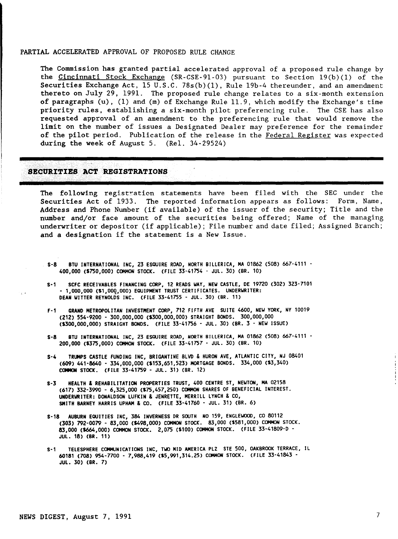### PARTIAL ACCELERATED APPROVAL OF PROPOSED RULE CHANGE

The Commission has granted partial accelerated approval of a proposed rule change by the Cincinnati Stock Exchange (SR-CSE-91-03) pursuant to Section  $19(b)(1)$  of the Securities Exchange Act, 15 U.S.C. 78s(b)(1), Rule 19b-4 thereunder, and an amendment thereto on July  $29$ , 1991. The proposed rule change relates to a six-month extension of paragraphs (u), (1) and (m) of Exchange Rule 11.9, which modify the Exchange's time priority rules, establishing a six-month pilot preferencing rule. The CSE has also requested approval of an amendment to the preferencing rule that would remove the limit on the number of issues a Designated Dealer may preference for the remainder of the pilot period. Publication of the release in the Federal Register was expected during the week of August 5. (Rel. 34-29524)

### SECURITIES ACT REGISTRATIONS

The following registration statements have been filed with the SEC under the Securities Act of 1933. The reported information appears as follows: Form, Name, Address and Phone Number (if available) of the issuer of the security; Title and the number and/or face amount of the securities being offered; Name of the managing underwriter or depositor (if applicable); File number and date filed; Assigned Branch; and a designation if the statement is a New Issue.

- S-8 BTU INTERNATIONAL INC, 23 ESQUIRE ROAD, NORTH BILLERICA, MA 01862 (508) 667-4111 400.000 (5750.000) COMMON STOCK. (FILE 33-41754 - JUL. 30) (BR. 10)
- S-1 SCFC RECEIVABLES FINANCING CORP. 12 READS WAY. NEW CASTLE. DE 19720 (302) 323-7101 - 1.000.000 (51.00g.000) EQUIPMENT TRUST CERTIFICATES. UNDERWRITER: DEAN WITTER REYNOLDS INC. (FILE 33-41755 - JUL. 30) (BR. 11)
- F-1 GRAND METROPOLITAN INVESTMENT CORP, 712 FIFTH AVE SUITE 4600, NEW YORK, NY 10019 (212) 554-9200 - 300.000.000 (5300.000,000) STRAIGHT BONDS. 300,000,000 (5300.000.000) STRAIGHT BONDS. (FILE 33-41756 - JUL. 30) (BR. 3 - NEW ISSUE)
- S-8 BTU INTERNATIONAL INC, 23 ESQUIRE ROAD, NORTH BILLERICA, MA 01862 (508) 667-4111 -200.000 (5375,000) COMMON STOCK. (FILE 33-41757 - JUL. 30) (BR. 10)
- S-4 TRUMPS CASTLE FUNDING INC. BRIGANTINE BLVD & HURON AVE, ATLANTIC CITY, NJ 08401 (609) 441-8640 - 334.000.000 (5153.651,523) MORTGAGE BONDS. 334,000 (\$3,340) COMMON STOCK. (FILE 33-41759 - JUL. 31) (BR. 12)
- S-3 HEALTH & REHABILITATION PROPERTIES TRUST. <sup>400</sup> CENTRE ST, NEWTON, MA <sup>02158</sup> (617) 332-3990 - 6,325.000 (\$75.457,250) COMMON SHARES OF BENEFICIAL INTEREST. UNDERWRITER: DONALDSON LUFKIN & JENRETTE, MERRILL LYNCH & CO, SMITH BARNEY HARRIS UPHAM & CO. (FILE 33-41760 - JUL. 31) (BR. 6)
- S-18 AUBURN EQUITIES INC. 384 INVERNESS DR SOUTH NO 159. ENGLEWOOD, CO 80112 (303) 792-0079 - 83.000 (\$498.000) COMMON STOCK. 83.000 (\$581.000) COMMON STOCK. 83.000 (\$664.000) COMMON STOCK. 2.075 (5100) COMMON STOCK. (FILE 33-41809-D - JUL. 18) (BR. 11)
- S-1 TELESPHERE COMMUNICATIONS INC. TWO MID AMERICA PLZ STE SOD, OAKBROOK TERRACE, IL 60181 (708) 954-7700 - 7.988,419 (\$5.991,314.25) COMMON STOCK. (FILE 33-41843 - JUL. 30) (BR. 7)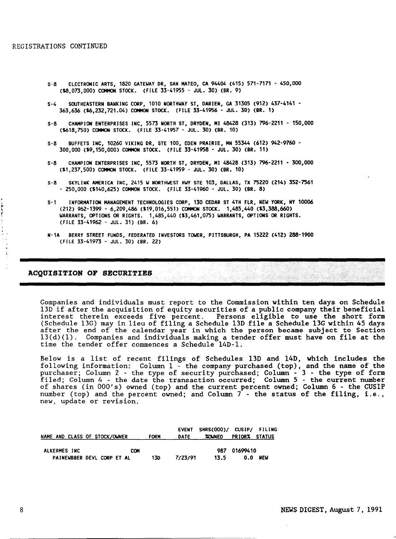- S-8 ELECTRONIC ARTS, 1820 GATEWAY DR, SAN MATEO, CA 94404 (415) 571-7171 450,000 (\$8,073,000) COMMON STOCK. (FILE 33-41955 - JUL. 30) (BR. 9)
- S-4 SOUTHEASTERN BANKING CORP, 1010 NORTHWAY ST, DARIEN, GA 31305 (912) 437-4141 363,636 (16,232,721.04) COMMON STOCK. (FILE 33-41956 - JUL. 30) (BR\_ 1)
- S-8 CHAMPION ENTERPRISES INC, 5573 NORTH ST, DRYDEN, HI 48428 (313) 796-2211 150,000 (1618,750) COMMON STOCK. (FILE 33-41957 - JUL. 30) (BR. 10)
- S-8 BUFFETS INC, 10260 VIKING DR, STE 100, EDEN PRAIRIE, MN 55344 (612) 942-9760 300,000 (\$9,150,000) COMMON STOCK. (FILE 33-41958 - JUL. 30) (BR. 11)
- S-8 CHAMPION ENTERPRISES INC, 5573 NORTH ST, DRYDEN, MI 48428 (313) 796-2211 300,000 (\$1,237,500) COMMON STOCK. (FILE 33-41959 - JUL. 30) (BR. 10)
- S-8 SKYLINK AMERICA INC, 2415 W NORTHWEST HWY STE 103, DALLAS, TX 75220 (214) 352-7561 - 250,000 (\$140,625) COMMON STOCK. (FILE 33-41960 - JUL. 30) (BR. 8)
- S-1 INFORMATION MANAGEMENT TECHNOLOGIES CORP, 130 CEDAR ST 4TH FLR, NEW YORK, NY 10006 (212) 962-1399 - 6,209,486 (\$19,016,551) COMMON STOCK. 1,485,440 (\$3,388,660) WARRANTS, OPTIONS OR RIGHTS. 1,485,440 (\$3,461,075) WARRANTS, OPTIONS OR RIGHTS. (FILE 33-41962 - JUL. 31) (BR. 6)
- N-1A BERRY STREET FUNDS, FEDERATED INVESTORS TOWER, PITTSBURGH, PA 15222 (412) 288-1900 (FILE 33-41973 - JUL. 30) (BR. 22)

## ACQUISITION OF SECURITIES

Companies and individuals must report to the Commission within ten days on Schedule 13D if after the acquisition of equity securities of a public company their beneficial interest therein exceeds five percent. Persons eligible to use the short form (Schedule 13G) may in lieu of filing a Schedule 13D file a Schedule 13G within 45 days after the end of the calendar year in which the person became subject to Section l3(d)(l). Companies and individuals making a tender offer must have on file at the time the tender offer commences a Schedule 14D-1.

Below is a list of recent filings of Schedules 13D and 14D, which includes the following information: Column 1 - the company purchased (top), and the name of the purchaser; Column 2 - the type of security purchased; Column - 3 - the type of form filed; Column 4 - the date the transaction occurred; Column 5 - the current number of shares (in OOO's) owned (top) and the current percent owned; Column 6 - the CUSIP number (top) and the percent owned; and Column 7 - the status of the filing, i.e., new, update or revision.

| NAME AND CLASS OF STOCK/OWNER |     | <b>FORM</b> | <b>EVENT</b><br>DATE | SHRS(000)/ CUSIP/ FILING<br><b>ZOWNED</b> | <b>PRIORX STATUS</b> |            |
|-------------------------------|-----|-------------|----------------------|-------------------------------------------|----------------------|------------|
| ALKERMES INC                  | COM |             |                      | 987                                       | 01699410             |            |
| PAINEWBBER DEVL CORP ET AL    |     | 13D         | 7/23/91              | 13.5                                      | 0.0                  | <b>NEW</b> |

Ĭ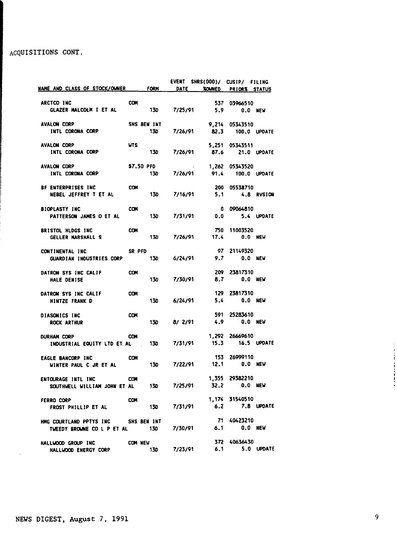# ACQUISITIONS CONT.

|                                                   |               |                    | <b>EVENT</b> | SHRS(000)/ CUSIP/ FILING     |                |                |
|---------------------------------------------------|---------------|--------------------|--------------|------------------------------|----------------|----------------|
| NAME AND CLASS OF STOCK/OWNER FORM                |               |                    | DATE         | <b>XOUNED</b>                | PRIORX STATUS  |                |
|                                                   | <b>COM</b>    |                    |              |                              |                |                |
| ARCTCO INC<br>GLAZER MALCOLM I ET AL              |               |                    | 130 7/25/91  | 5.9                          | 537 03966510   |                |
|                                                   |               |                    |              |                              |                | <b>0.0 NEW</b> |
| <b>AVALON CORP</b>                                |               | <b>SHS BEN INT</b> |              |                              | 9,214 05343510 |                |
| INTL CORONA CORP                                  |               | 130                | 7/26/91      | 82.3                         |                | 100.0 UPDATE   |
|                                                   |               |                    |              |                              |                |                |
| <b>AVALON CORP</b>                                | <b>UTS</b>    |                    |              |                              | 5,251 05343511 |                |
| INTL CORONA CORP                                  |               |                    |              | 130 7/26/91 87.6 21.0 UPDATE |                |                |
| <b>AVALON CORP</b>                                |               | \$7.50 PFD         |              |                              | 1,262 05343520 |                |
| INTL CORONA CORP                                  |               | 130                | 7/26/91      | 91.4                         |                | 100.0 UPDATE   |
|                                                   |               |                    |              |                              |                |                |
| BF ENTERPRISES INC                                | <b>COM</b>    |                    |              |                              | 200 05538710   |                |
| <b>NEBEL JEFFREY T ET AL</b>                      |               | 130                |              | 7/16/91 5.1 4.8 RVSION       |                |                |
|                                                   |               |                    |              |                              |                |                |
| <b>BIOPLASTY INC</b>                              | <b>COM</b>    |                    |              |                              | 0 09064810     |                |
| PATTERSON JAMES O ET AL                           |               | 13D                |              | 0.0<br>7/31/91               |                | 5.4 UPDATE     |
| BRISTOL HLDGS INC                                 | <b>COM</b>    |                    |              |                              | 750 11003520   |                |
| <b>GELLER MARSHALL S</b>                          |               | 13D                |              | 7/26/91 17.4 0.0 NEW         |                |                |
|                                                   |               |                    |              |                              |                |                |
| CONTINENTAL INC                                   | <b>SR PFD</b> |                    |              |                              | 97 21149320    |                |
| <b>GUARDIAN INDUSTRIES CORP</b>                   |               | 130                | 6/24/91      |                              | 9.7            | <b>0.0 NEW</b> |
|                                                   |               |                    |              |                              |                |                |
| DATRON SYS INC CALIF                              | <b>COM</b>    |                    |              |                              | 209 23817310   |                |
| <b>HALE DENISE</b>                                |               | <b>130</b>         |              | 7/30/91                      | 8.7 0.0 NEW    |                |
| DATRON SYS INC CALIF                              | <b>COM</b>    |                    |              |                              | 129 23817310   |                |
| <b>HINTZE FRANK D</b>                             |               | <b>13D</b>         | 6/24/91      |                              | 5.4 0.0 NEW    |                |
|                                                   |               |                    |              |                              |                |                |
| DIASONICS INC                                     | <b>COM</b>    |                    |              |                              | 591 25283610   |                |
| ROCK ARTHUR                                       |               | 130                | 8/2/91       |                              | 4.9 0.0 NEW    |                |
|                                                   |               |                    |              |                              | 1,292 26669610 |                |
| <b>DURHAM CORP</b><br>INDUSTRIAL EQUITY LTD ET AL | <b>CON</b>    | 130                | 7/31/91      | 15.3                         | 16.5 UPDATE    |                |
|                                                   |               |                    |              |                              |                |                |
| <b>EAGLE BANCORP INC</b>                          | <b>COM</b>    |                    |              |                              | 153 26999110   |                |
| WINTER PAUL C JR ET AL                            |               | 130                |              | 7/22/91 12.1 0.0 NEW         |                |                |
|                                                   |               |                    |              |                              |                |                |
| <b>ENTOURAGE INTL INC</b>                         | <b>COM</b>    |                    |              |                              | 1,355 29382210 |                |
| SOUTHWELL WILLIAM JOHN ET AL                      |               | <b>13D</b>         | 7/25/91      | 32.2                         |                | 0.0 NEW        |
| FERRO CORP                                        | <b>COM</b>    |                    |              |                              | 1,174 31540510 |                |
| FROST PHILLIP ET AL                               |               | <b>13D</b>         | 7/31/91      |                              | 6.2 7.8 UPDATE |                |
|                                                   |               |                    |              |                              |                |                |
| HMG COURTLAND PPTYS INC SHS BEN INT               |               |                    |              |                              | 71 40423210    |                |
| TWEEDY BROWNE CO L P ET AL 130 7/30/91            |               |                    |              | 6.1                          |                | <b>0.0 NEW</b> |
|                                                   |               |                    |              |                              |                |                |
| HALLWOOD GROUP INC                                |               | COM NEW            |              |                              | 372 40636430   |                |
| HALLWOOD ENERGY CORP                              |               | 13D                | 7/23/91      | 6.1                          |                | 5.0 UPDATE     |

 $\mathcal{L}$ 

Ť ì  $\mathbf{1}$ Ţ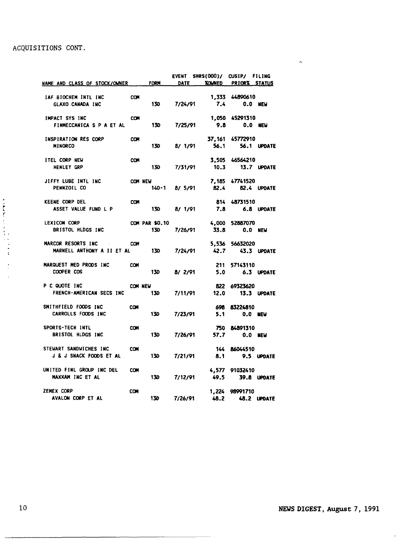# ACQUISITIONS CONT.

| NAME AND CLASS OF STOCK/OWNER FORM              |            |                  | <b>DATE</b>  | EVENT SHRS(000)/ CUSIP/ FILING | XOUNED PRIORX STATUS |                |
|-------------------------------------------------|------------|------------------|--------------|--------------------------------|----------------------|----------------|
|                                                 | <b>COM</b> |                  |              |                                | 1,333 44890610       |                |
| IAF BIOCHEM INTL INC<br><b>GLAXO CANADA INC</b> |            |                  | 130 7/24/91  |                                | 7.4 0.0 NEW          |                |
| IMPACT SYS INC                                  | <b>COM</b> |                  |              |                                | 1,050 45291310       |                |
| FINMECCANICA S P A ET AL                        |            | 130              | 7/25/91      | 9.8                            |                      | 0.0 NEW        |
| INSPIRATION RES CORP                            | <b>COM</b> |                  |              |                                | 37, 161 45772910     |                |
| <b>MINORCO</b>                                  |            | <b>13D</b>       | 8/ 1/91      | 56.1                           |                      | 56.1 UPDATE    |
| ITEL CORP NEW                                   | <b>COM</b> |                  |              |                                | 3,505 46564210       |                |
| <b>HENLEY GRP</b>                               |            |                  | 130 7/31/91  |                                | 10.3 13.7 UPDATE     |                |
| JIFFY LUBE INTL INC                             |            | COM NEW          |              |                                | 7,185 47741520       |                |
| PENNZOIL CO                                     |            |                  | 14D-1 8/5/91 |                                | 82.4 82.4 UPDATE     |                |
| <b>KEENE CORP DEL</b>                           | <b>COM</b> |                  |              |                                | 814 48731510         |                |
| ASSET VALUE FUND L P                            |            |                  |              | 130 8/ 1/91 7.8 6.8 UPDATE     |                      |                |
| LEXICON CORP                                    |            | COM PAR \$0.10   |              |                                | 4,000 52887070       |                |
| <b>BRISTOL HLDGS INC</b>                        |            | <b>13D</b>       | 7/26/91      | 33.8                           |                      | $0.0$ NEW      |
| MARCOR RESORTS INC                              | <b>COM</b> |                  |              |                                | 5,536 56632020       |                |
| MARNELL ANTHONY A II ET AL                      |            | 130 7/24/91      |              |                                | 42.7 43.3 UPDATE     |                |
| MARQUEST MED PRODS INC                          | <b>COM</b> |                  |              |                                | 211 57143110         |                |
| COOPER COS                                      |            |                  |              | 130 8/2/91 5.0 6.3 UPDATE      |                      |                |
| P C QUOTE INC                                   |            | COM NEW          |              |                                | 822 69323620         |                |
| FRENCH-AMERICAN SECS INC                        |            | 130              |              | 7/11/91 12.0 13.3 UPDATE       |                      |                |
| SMITHFIELD FOODS INC                            | <b>COM</b> |                  |              |                                | 698 83224810         |                |
| CARROLLS FOODS INC                              |            | <b>130</b>       | 7/23/91      | 5.1                            |                      | <b>0.0 NEW</b> |
| SPORTS-TECH INTL                                | <b>COM</b> |                  |              |                                | 750 84891310         |                |
| BRISTOL HLDGS INC                               |            | 130              | 7/26/91      |                                | 57.7                 | 0.0 NEW        |
| STEWART SANDWICHES INC                          | <b>COM</b> |                  |              |                                | 144 86044510         |                |
| <b>J &amp; J SNACK FOODS ET AL</b>              |            | <b>130</b>       | 7/21/91      | 8.1                            |                      | 9.5 UPDATE     |
| UNITED FINL GROUP INC DEL                       | <b>COM</b> |                  |              |                                | 4,577 91032410       |                |
| MAXXAM INC ET AL                                |            | 130 <sub>1</sub> | 7/12/91      |                                | 49.5 39.8 UPDATE     |                |
| ZEMEX CORP                                      | <b>COM</b> |                  |              |                                | 1,224 98991710       |                |
| AVALON CORP ET AL                               |            | 130 <sub>1</sub> | 7/26/91      | 48.2                           | <b>48.2 UPDATE</b>   |                |

 $\overline{\phantom{a}}$ 

 $\hat{\phantom{a}}$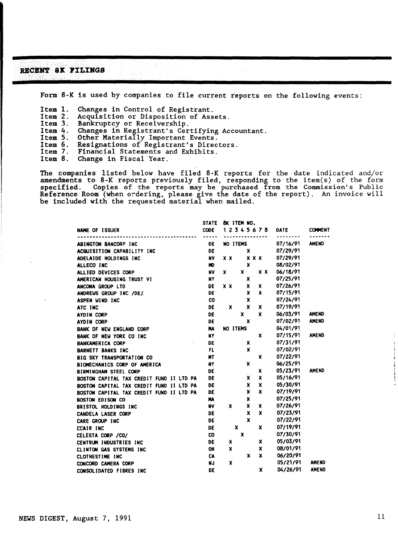### RECENT 8K FILINGS

Form 8-K is used by companies to file current reports on the following events:

Item 1. Changes in Control of Registrant.<br>Item 2. Acquisition or Disposition of Ass

Item 2. Acquisition or Disposition of Assets.<br>Item 3. Bankruptcy or Receivership.

Item 3. Bankruptcy or Receivership.<br>Item 4. Changes in Registrant's Cer

Item 4. Changes in Registrant's Certifying Accountant.

- Item 5. Other Materially Important Events.
- Item 6. Resignations of Registrant's Directors.<br>Item 7. Financial Statements and Exhibits.
- Item 7. Financial Statements and Exhibits.<br>Item 8. Change in Fiscal Year.
- Change in Fiscal Year.

The companies listed below have filed 8-K reports for the date indicated and/or amendments to 8-K reports previously filed, responding to the item(s) of the form specified. Copies of the reports may be purchased from the Commission's Public Reference Room (when ordering, please give the date of the report). An invoice will be included with the requested material when mailed.

|                                          | <b>STATE</b>     | 8K ITEM NO.                                 |
|------------------------------------------|------------------|---------------------------------------------|
| <b>NAME OF ISSUER</b>                    | <b>CODE</b><br>. | 12345678<br><b>DATE</b><br><b>CONNENT</b>   |
| ABINGTON BANCORP INC                     | DE               | <b>AMEND</b><br>07/16/91<br><b>NO ITEMS</b> |
| ACQUISITION CAPABILITY INC               | DE               | 07/29/91<br>x                               |
| ADELAIDE HOLDINGS INC                    | <b>NV</b>        | 07/29/91<br>x x<br>$X$ $X$ $X$              |
| ALLECO INC                               | HO               | 08/02/91<br>x                               |
| ALLIED DEVICES CORP                      | <b>NV</b>        | 06/18/91<br>x<br>$X$ $X$<br>x               |
| AMERICAN HOUSING TRUST VI                | NY               | 07/25/91<br>x                               |
| ANCONA GROUP LTD                         | DE               | 07/26/91<br>x<br>X<br>x x                   |
| ANDREWS GROUP INC /DE/                   | DE               | X<br>07/15/91<br>x                          |
| ASPEN WIND INC                           | CO               | x<br>07/24/91                               |
| ATC INC                                  | DE               | x<br>07/19/91<br>x<br>x                     |
| <b>AYDIN CORP</b>                        | DE               | 06/03/91<br>x<br>x<br><b>AMEND</b>          |
| AYDIN CORP                               | DE               | 07/02/91<br><b>AMEND</b><br>X               |
| BANK OF NEW ENGLAND CORP                 | <b>HA</b>        | 04/01/91<br><b>NO ITEMS</b>                 |
| BANK OF NEW YORK CO INC.                 | NY               | 07/15/91<br><b>AMEND</b><br>x               |
| <b>BANKAMERICA CORP</b>                  | DE               | 07/31/91<br>x                               |
| <b>BARNETT BANKS INC</b>                 | <b>FL</b>        | 07/02/91<br>x                               |
| BIG SKY TRANSPORTATION CO                | <b>MT</b>        | 07/22/91<br>x                               |
| BIOMECHANICS CORP OF AMERICA             | NY               | x<br>06/25/91                               |
| <b>BIRMINGHAM STEEL CORP</b>             | DE               | 05/23/91<br><b>AMEND</b><br>X               |
| BOSTON CAPITAL TAX CREDIT FUND II LTD PA | DE               | 05/16/91<br>x<br>x                          |
| BOSTON CAPITAL TAX CREDIT FUND II LTD PA | DE               | 05/30/91<br>x<br>x                          |
| BOSTON CAPITAL TAX CREDIT FUND II LTD PA | DE               | x<br>07/19/91<br>X                          |
| <b>BOSTON EDISON CO</b>                  | MA               | 07/25/91<br>x                               |
| BRISTOL HOLDINGS INC                     | <b>NV</b>        | 07/26/91<br>x<br>x<br>x                     |
| <b>CANDELA LASER CORP</b>                | DE               | x<br>x<br>07/23/91                          |
| CARE GROUP INC                           | DE               | x<br>07/22/91                               |
| <b>CCAIR INC</b>                         | DE               | 07/19/91<br>x<br>x                          |
| CELESTA CORP / CO/                       | <b>CO</b>        | 07/30/91<br>x                               |
| CENTRUM INDUSTRIES INC                   | DE               | 05/03/91<br>x<br>x                          |
| CLINTON GAS SYSTEMS INC                  | OH               | 08/01/91<br>x<br>x                          |
| CLOTHESTIME INC                          | CA               | 06/20/91<br>x<br>x                          |
| CONCORD CAMERA CORP                      | NJ.              | 05/21/91<br><b>AMEND</b><br>X               |
| CONSOLIDATED FIBRES INC                  | DE               | 04/26/91<br><b>AMEND</b><br>x               |